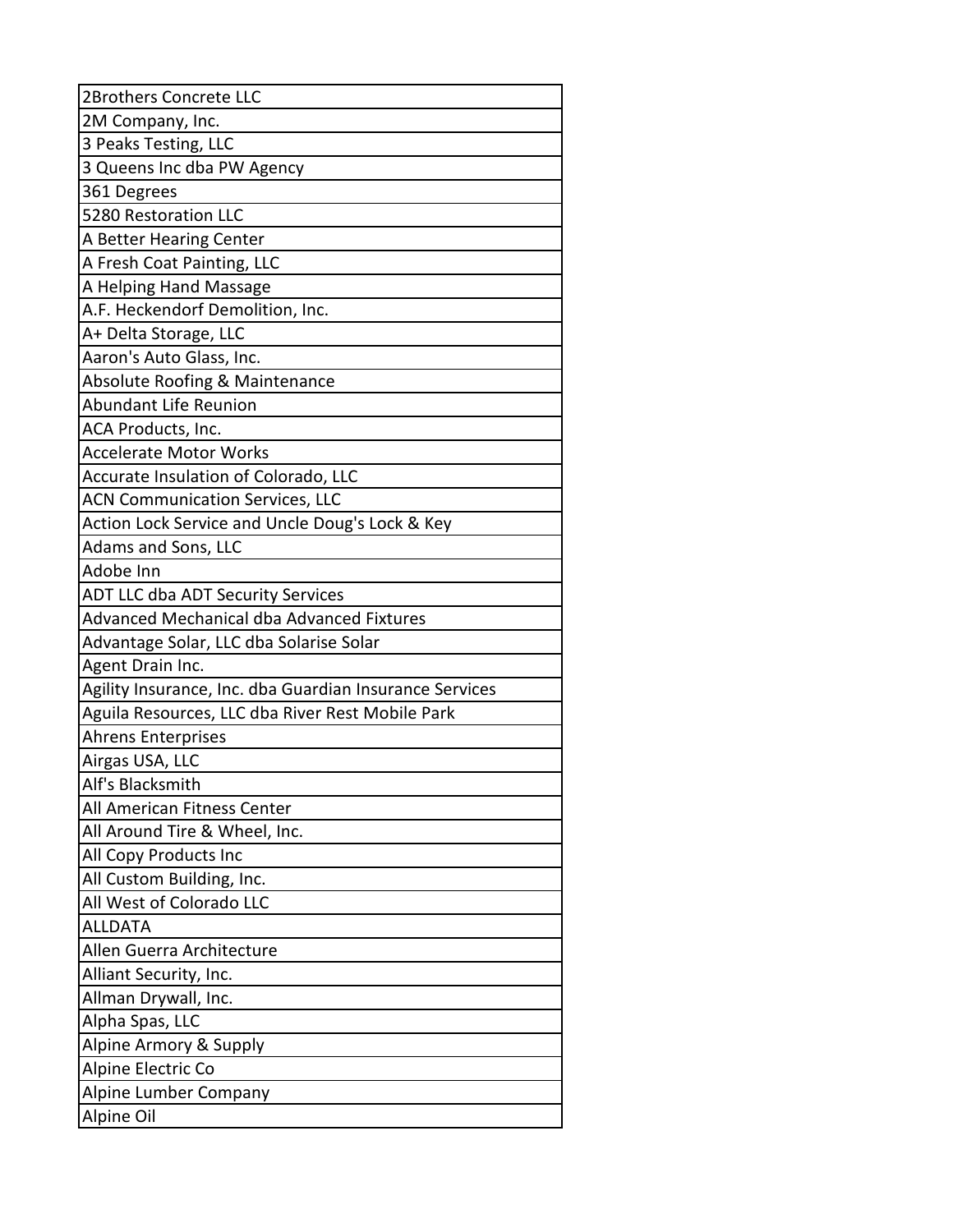| 2Brothers Concrete LLC                                  |
|---------------------------------------------------------|
| 2M Company, Inc.                                        |
| 3 Peaks Testing, LLC                                    |
| 3 Queens Inc dba PW Agency                              |
| 361 Degrees                                             |
| 5280 Restoration LLC                                    |
| A Better Hearing Center                                 |
| A Fresh Coat Painting, LLC                              |
| A Helping Hand Massage                                  |
| A.F. Heckendorf Demolition, Inc.                        |
| A+ Delta Storage, LLC                                   |
| Aaron's Auto Glass, Inc.                                |
| Absolute Roofing & Maintenance                          |
| <b>Abundant Life Reunion</b>                            |
| ACA Products, Inc.                                      |
| <b>Accelerate Motor Works</b>                           |
| Accurate Insulation of Colorado, LLC                    |
| <b>ACN Communication Services, LLC</b>                  |
| Action Lock Service and Uncle Doug's Lock & Key         |
| Adams and Sons, LLC                                     |
| Adobe Inn                                               |
| <b>ADT LLC dba ADT Security Services</b>                |
| Advanced Mechanical dba Advanced Fixtures               |
| Advantage Solar, LLC dba Solarise Solar                 |
| Agent Drain Inc.                                        |
| Agility Insurance, Inc. dba Guardian Insurance Services |
| Aguila Resources, LLC dba River Rest Mobile Park        |
| <b>Ahrens Enterprises</b>                               |
| Airgas USA, LLC                                         |
| Alf's Blacksmith                                        |
| All American Fitness Center                             |
| All Around Tire & Wheel, Inc.                           |
| All Copy Products Inc                                   |
| All Custom Building, Inc.                               |
| All West of Colorado LLC                                |
| <b>ALLDATA</b>                                          |
| Allen Guerra Architecture                               |
| Alliant Security, Inc.                                  |
| Allman Drywall, Inc.                                    |
| Alpha Spas, LLC                                         |
| Alpine Armory & Supply                                  |
| Alpine Electric Co                                      |
| Alpine Lumber Company                                   |
| Alpine Oil                                              |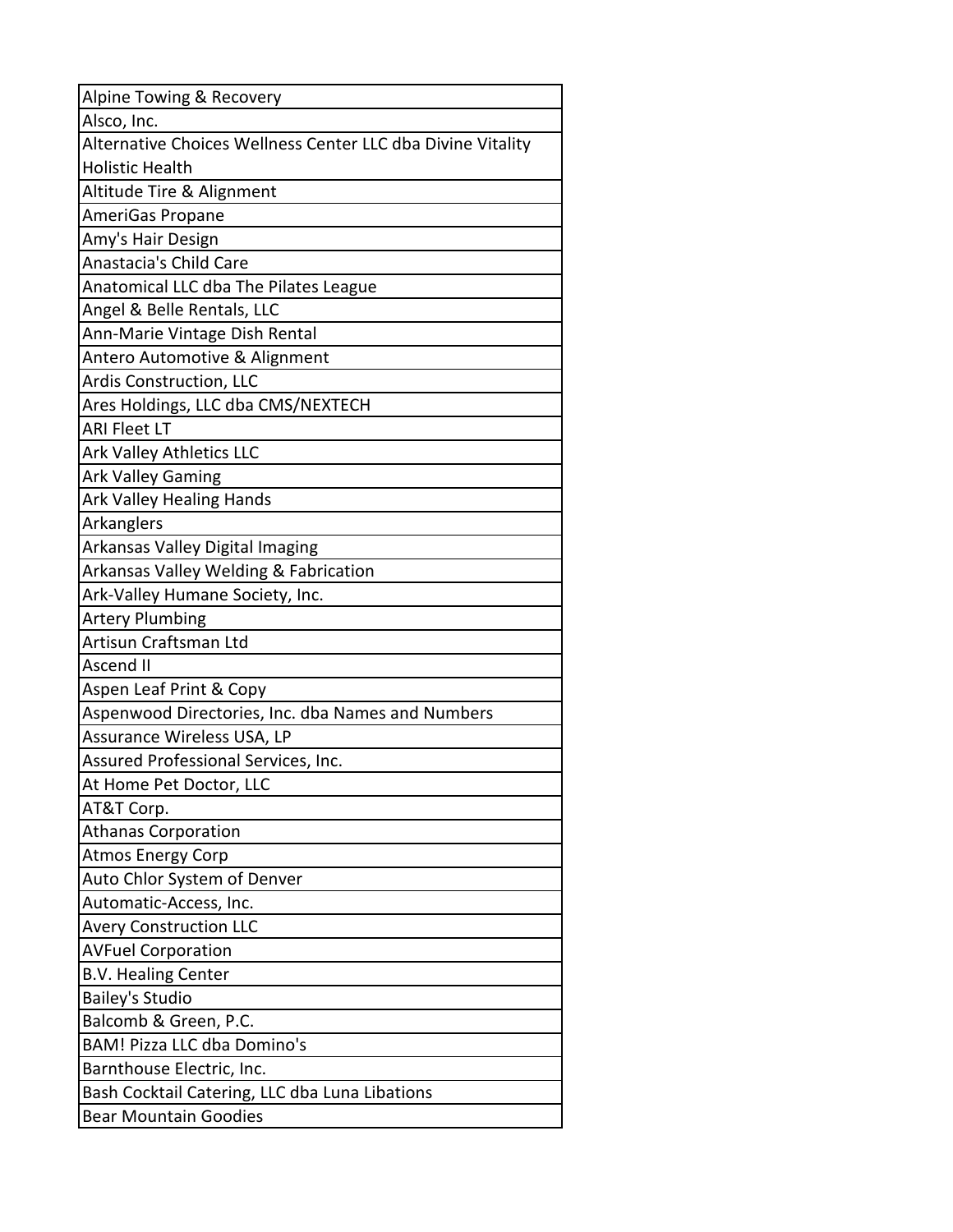| Alpine Towing & Recovery                                    |
|-------------------------------------------------------------|
| Alsco, Inc.                                                 |
| Alternative Choices Wellness Center LLC dba Divine Vitality |
| <b>Holistic Health</b>                                      |
| Altitude Tire & Alignment                                   |
| AmeriGas Propane                                            |
| Amy's Hair Design                                           |
| Anastacia's Child Care                                      |
| Anatomical LLC dba The Pilates League                       |
| Angel & Belle Rentals, LLC                                  |
| Ann-Marie Vintage Dish Rental                               |
| Antero Automotive & Alignment                               |
| Ardis Construction, LLC                                     |
| Ares Holdings, LLC dba CMS/NEXTECH                          |
| <b>ARI Fleet LT</b>                                         |
| <b>Ark Valley Athletics LLC</b>                             |
| <b>Ark Valley Gaming</b>                                    |
| <b>Ark Valley Healing Hands</b>                             |
| Arkanglers                                                  |
| Arkansas Valley Digital Imaging                             |
| Arkansas Valley Welding & Fabrication                       |
| Ark-Valley Humane Society, Inc.                             |
| <b>Artery Plumbing</b>                                      |
| Artisun Craftsman Ltd                                       |
| Ascend II                                                   |
| Aspen Leaf Print & Copy                                     |
| Aspenwood Directories, Inc. dba Names and Numbers           |
| Assurance Wireless USA, LP                                  |
| Assured Professional Services, Inc.                         |
| At Home Pet Doctor, LLC                                     |
| AT&T Corp.                                                  |
| <b>Athanas Corporation</b>                                  |
| <b>Atmos Energy Corp</b>                                    |
| Auto Chlor System of Denver                                 |
| Automatic-Access, Inc.                                      |
| <b>Avery Construction LLC</b>                               |
| <b>AVFuel Corporation</b>                                   |
| <b>B.V. Healing Center</b>                                  |
| <b>Bailey's Studio</b>                                      |
| Balcomb & Green, P.C.                                       |
| <b>BAM! Pizza LLC dba Domino's</b>                          |
| Barnthouse Electric, Inc.                                   |
| Bash Cocktail Catering, LLC dba Luna Libations              |
| <b>Bear Mountain Goodies</b>                                |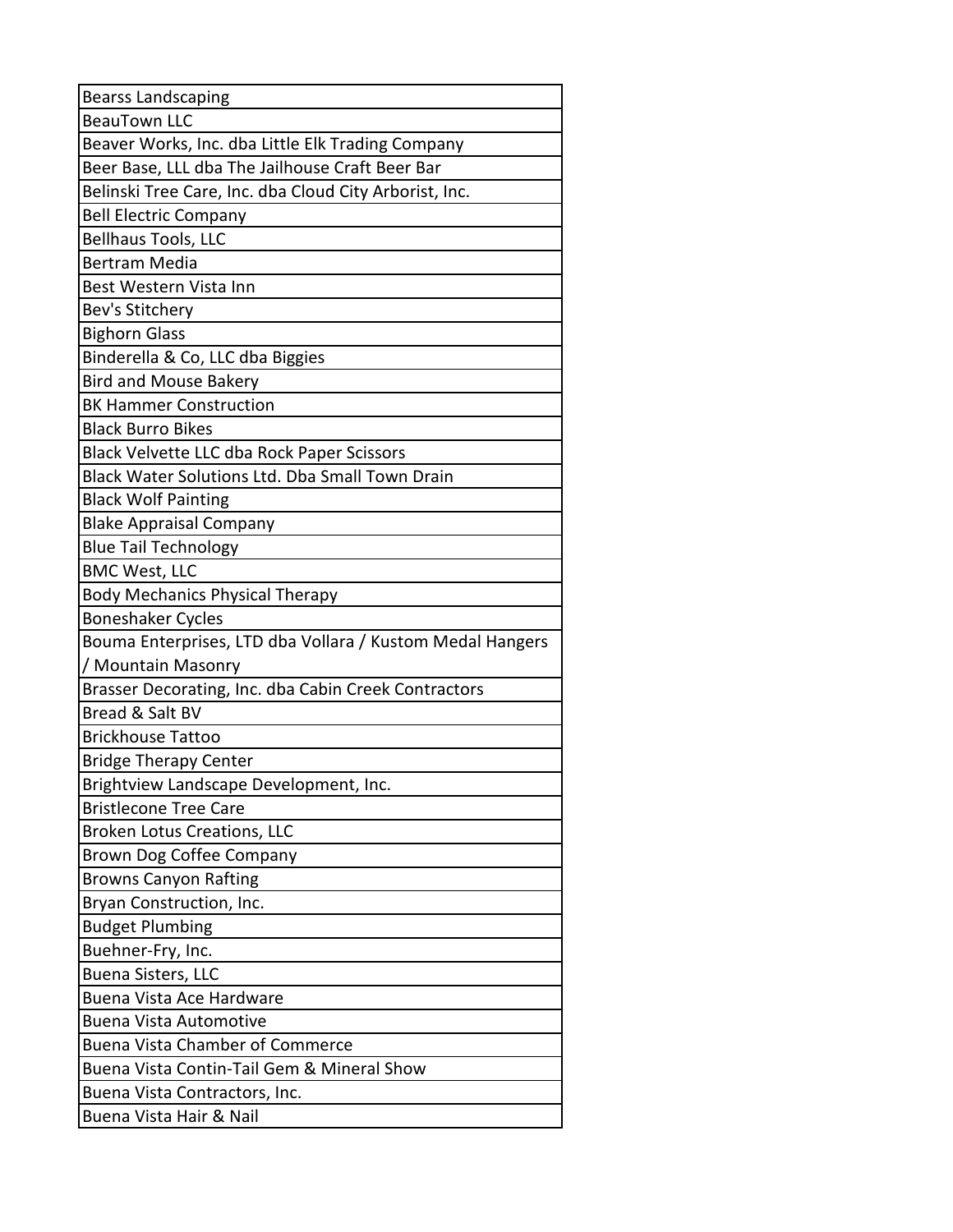| <b>Bearss Landscaping</b>                                 |
|-----------------------------------------------------------|
| <b>BeauTown LLC</b>                                       |
| Beaver Works, Inc. dba Little Elk Trading Company         |
| Beer Base, LLL dba The Jailhouse Craft Beer Bar           |
| Belinski Tree Care, Inc. dba Cloud City Arborist, Inc.    |
| <b>Bell Electric Company</b>                              |
| <b>Bellhaus Tools, LLC</b>                                |
| <b>Bertram Media</b>                                      |
| Best Western Vista Inn                                    |
| Bev's Stitchery                                           |
| <b>Bighorn Glass</b>                                      |
| Binderella & Co, LLC dba Biggies                          |
| <b>Bird and Mouse Bakery</b>                              |
| <b>BK Hammer Construction</b>                             |
| <b>Black Burro Bikes</b>                                  |
| Black Velvette LLC dba Rock Paper Scissors                |
| Black Water Solutions Ltd. Dba Small Town Drain           |
| <b>Black Wolf Painting</b>                                |
| <b>Blake Appraisal Company</b>                            |
| <b>Blue Tail Technology</b>                               |
| <b>BMC West, LLC</b>                                      |
| <b>Body Mechanics Physical Therapy</b>                    |
| <b>Boneshaker Cycles</b>                                  |
| Bouma Enterprises, LTD dba Vollara / Kustom Medal Hangers |
| / Mountain Masonry                                        |
| Brasser Decorating, Inc. dba Cabin Creek Contractors      |
| Bread & Salt BV                                           |
| <b>Brickhouse Tattoo</b>                                  |
| <b>Bridge Therapy Center</b>                              |
| Brightview Landscape Development, Inc.                    |
| <b>Bristlecone Tree Care</b>                              |
| <b>Broken Lotus Creations, LLC</b>                        |
| <b>Brown Dog Coffee Company</b>                           |
| <b>Browns Canyon Rafting</b>                              |
| Bryan Construction, Inc.                                  |
| <b>Budget Plumbing</b>                                    |
| Buehner-Fry, Inc.                                         |
|                                                           |
| <b>Buena Sisters, LLC</b>                                 |
| <b>Buena Vista Ace Hardware</b>                           |
| <b>Buena Vista Automotive</b>                             |
| <b>Buena Vista Chamber of Commerce</b>                    |
| Buena Vista Contin-Tail Gem & Mineral Show                |
| Buena Vista Contractors, Inc.                             |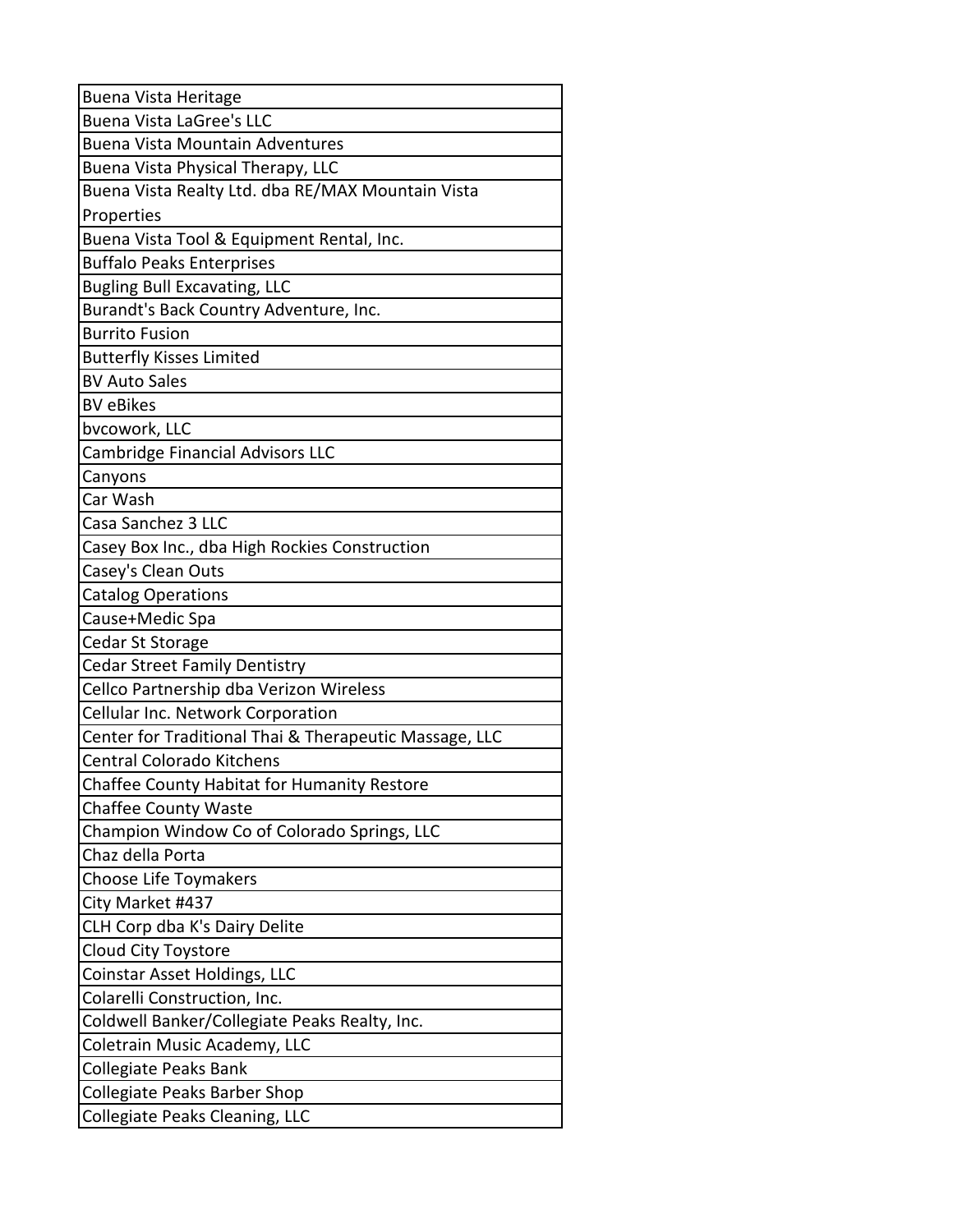| <b>Buena Vista Heritage</b>                            |
|--------------------------------------------------------|
| <b>Buena Vista LaGree's LLC</b>                        |
| <b>Buena Vista Mountain Adventures</b>                 |
| Buena Vista Physical Therapy, LLC                      |
| Buena Vista Realty Ltd. dba RE/MAX Mountain Vista      |
| Properties                                             |
| Buena Vista Tool & Equipment Rental, Inc.              |
| <b>Buffalo Peaks Enterprises</b>                       |
| <b>Bugling Bull Excavating, LLC</b>                    |
| Burandt's Back Country Adventure, Inc.                 |
| <b>Burrito Fusion</b>                                  |
| <b>Butterfly Kisses Limited</b>                        |
| <b>BV Auto Sales</b>                                   |
| <b>BV</b> eBikes                                       |
| bvcowork, LLC                                          |
| <b>Cambridge Financial Advisors LLC</b>                |
| Canyons                                                |
| Car Wash                                               |
| Casa Sanchez 3 LLC                                     |
| Casey Box Inc., dba High Rockies Construction          |
| Casey's Clean Outs                                     |
| <b>Catalog Operations</b>                              |
| Cause+Medic Spa                                        |
| Cedar St Storage                                       |
| <b>Cedar Street Family Dentistry</b>                   |
| Cellco Partnership dba Verizon Wireless                |
| Cellular Inc. Network Corporation                      |
| Center for Traditional Thai & Therapeutic Massage, LLC |
| Central Colorado Kitchens                              |
| Chaffee County Habitat for Humanity Restore            |
| <b>Chaffee County Waste</b>                            |
| Champion Window Co of Colorado Springs, LLC            |
| Chaz della Porta                                       |
| Choose Life Toymakers                                  |
| City Market #437                                       |
| CLH Corp dba K's Dairy Delite                          |
| <b>Cloud City Toystore</b>                             |
| Coinstar Asset Holdings, LLC                           |
| Colarelli Construction, Inc.                           |
| Coldwell Banker/Collegiate Peaks Realty, Inc.          |
| Coletrain Music Academy, LLC                           |
| Collegiate Peaks Bank                                  |
| <b>Collegiate Peaks Barber Shop</b>                    |
| Collegiate Peaks Cleaning, LLC                         |
|                                                        |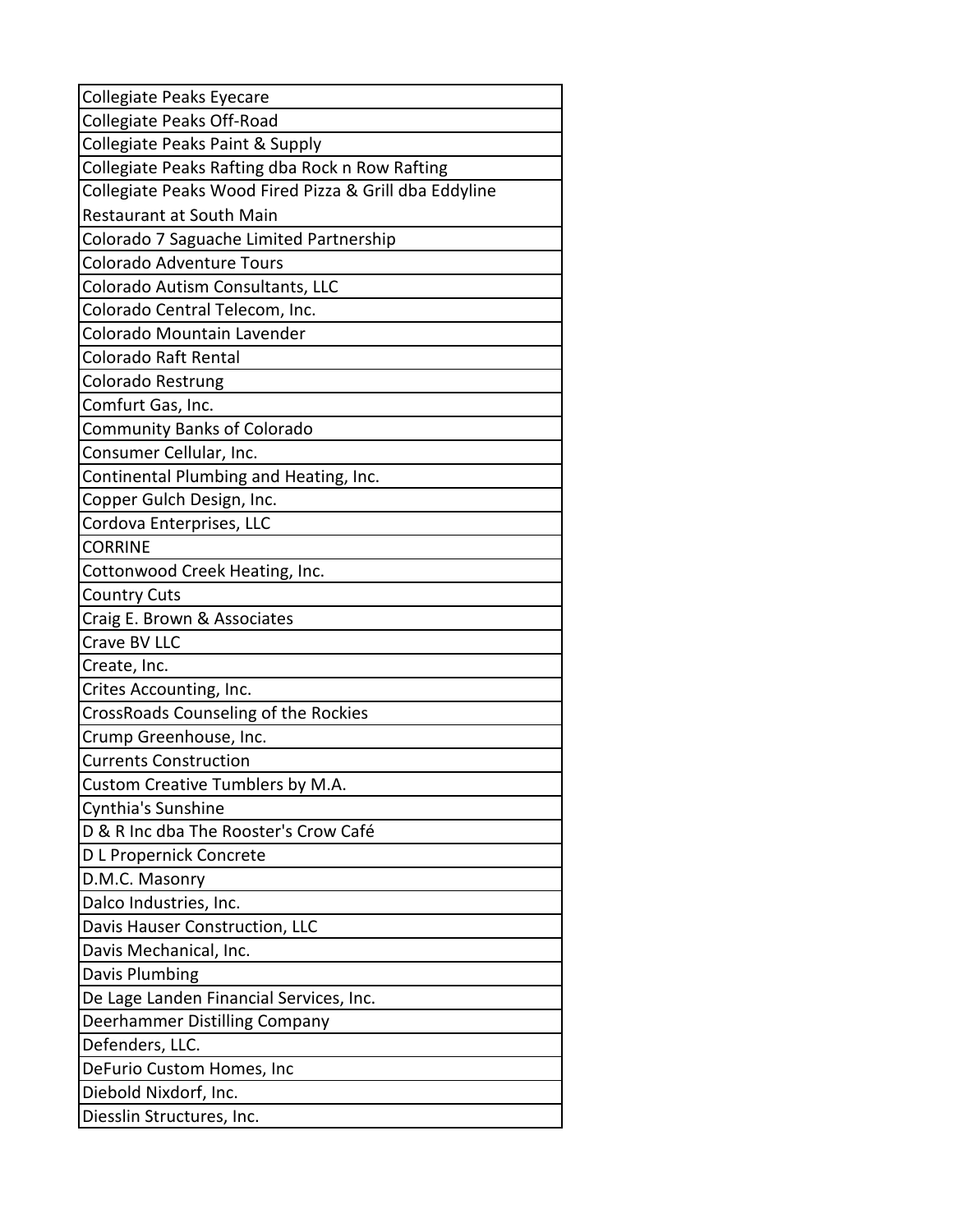| Collegiate Peaks Eyecare                               |
|--------------------------------------------------------|
| Collegiate Peaks Off-Road                              |
| Collegiate Peaks Paint & Supply                        |
| Collegiate Peaks Rafting dba Rock n Row Rafting        |
| Collegiate Peaks Wood Fired Pizza & Grill dba Eddyline |
| <b>Restaurant at South Main</b>                        |
| Colorado 7 Saguache Limited Partnership                |
| <b>Colorado Adventure Tours</b>                        |
| Colorado Autism Consultants, LLC                       |
| Colorado Central Telecom, Inc.                         |
| Colorado Mountain Lavender                             |
| Colorado Raft Rental                                   |
| Colorado Restrung                                      |
| Comfurt Gas, Inc.                                      |
| <b>Community Banks of Colorado</b>                     |
| Consumer Cellular, Inc.                                |
| Continental Plumbing and Heating, Inc.                 |
| Copper Gulch Design, Inc.                              |
| Cordova Enterprises, LLC                               |
| <b>CORRINE</b>                                         |
| Cottonwood Creek Heating, Inc.                         |
| <b>Country Cuts</b>                                    |
| Craig E. Brown & Associates                            |
| Crave BV LLC                                           |
| Create, Inc.                                           |
| Crites Accounting, Inc.                                |
| CrossRoads Counseling of the Rockies                   |
| Crump Greenhouse, Inc.                                 |
| <b>Currents Construction</b>                           |
| Custom Creative Tumblers by M.A.                       |
| Cynthia's Sunshine                                     |
| D & R Inc dba The Rooster's Crow Café                  |
| D L Propernick Concrete                                |
| D.M.C. Masonry                                         |
| Dalco Industries, Inc.                                 |
| Davis Hauser Construction, LLC                         |
| Davis Mechanical, Inc.                                 |
| Davis Plumbing                                         |
| De Lage Landen Financial Services, Inc.                |
| Deerhammer Distilling Company                          |
| Defenders, LLC.                                        |
| DeFurio Custom Homes, Inc                              |
| Diebold Nixdorf, Inc.                                  |
| Diesslin Structures, Inc.                              |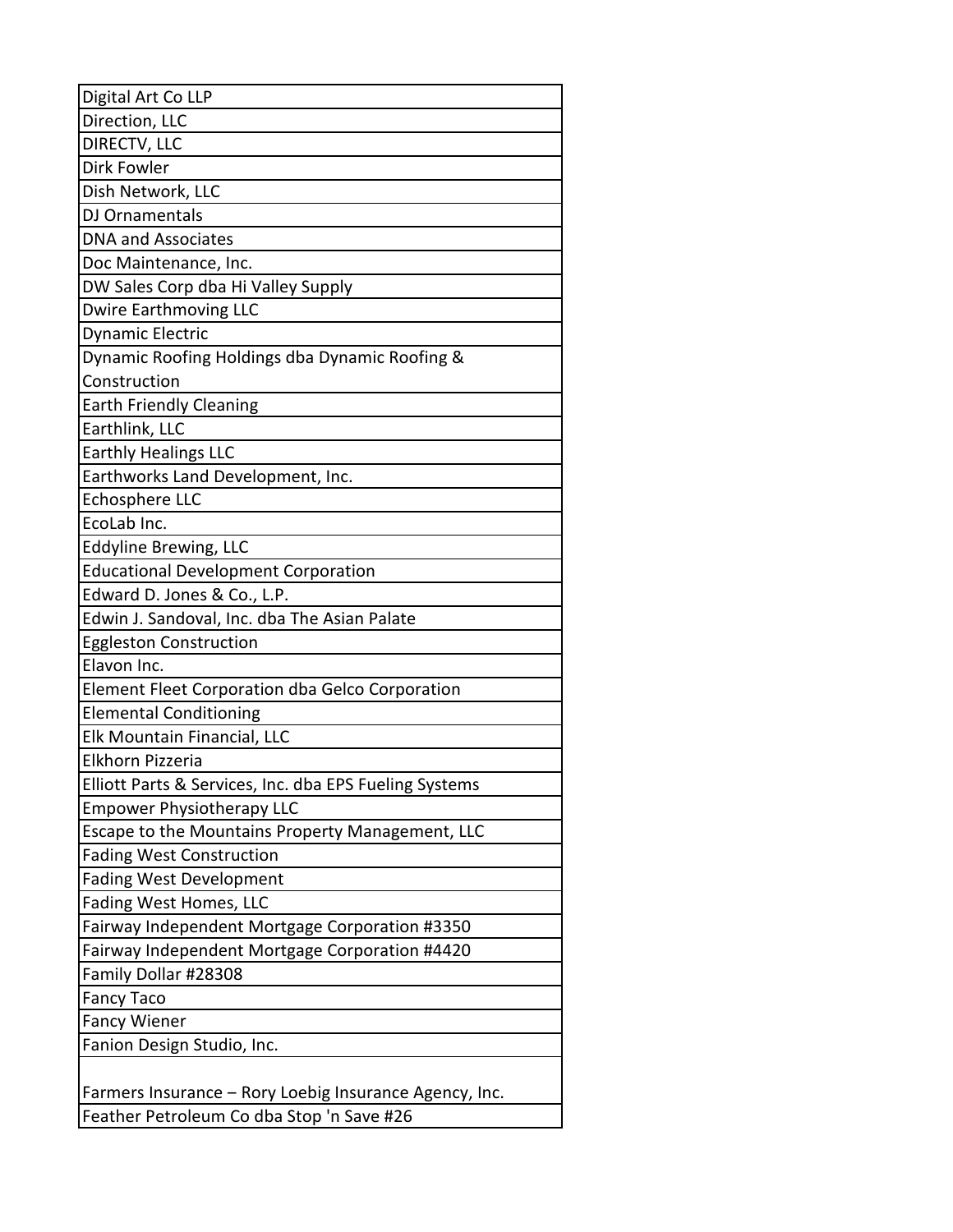| Digital Art Co LLP                                     |
|--------------------------------------------------------|
| Direction, LLC                                         |
| DIRECTV, LLC                                           |
| Dirk Fowler                                            |
| Dish Network, LLC                                      |
| DJ Ornamentals                                         |
| <b>DNA and Associates</b>                              |
| Doc Maintenance, Inc.                                  |
| DW Sales Corp dba Hi Valley Supply                     |
| <b>Dwire Earthmoving LLC</b>                           |
| Dynamic Electric                                       |
| Dynamic Roofing Holdings dba Dynamic Roofing &         |
| Construction                                           |
| <b>Earth Friendly Cleaning</b>                         |
| Earthlink, LLC                                         |
| <b>Earthly Healings LLC</b>                            |
| Earthworks Land Development, Inc.                      |
| <b>Echosphere LLC</b>                                  |
| EcoLab Inc.                                            |
| <b>Eddyline Brewing, LLC</b>                           |
| <b>Educational Development Corporation</b>             |
| Edward D. Jones & Co., L.P.                            |
| Edwin J. Sandoval, Inc. dba The Asian Palate           |
| <b>Eggleston Construction</b>                          |
| Elavon Inc.                                            |
| Element Fleet Corporation dba Gelco Corporation        |
| <b>Elemental Conditioning</b>                          |
| Elk Mountain Financial, LLC                            |
| Elkhorn Pizzeria                                       |
| Elliott Parts & Services, Inc. dba EPS Fueling Systems |
| <b>Empower Physiotherapy LLC</b>                       |
| Escape to the Mountains Property Management, LLC       |
| <b>Fading West Construction</b>                        |
| <b>Fading West Development</b>                         |
| Fading West Homes, LLC                                 |
| Fairway Independent Mortgage Corporation #3350         |
| Fairway Independent Mortgage Corporation #4420         |
| Family Dollar #28308                                   |
| <b>Fancy Taco</b>                                      |
| <b>Fancy Wiener</b>                                    |
| Fanion Design Studio, Inc.                             |
|                                                        |
| Farmers Insurance - Rory Loebig Insurance Agency, Inc. |
| Feather Petroleum Co dba Stop 'n Save #26              |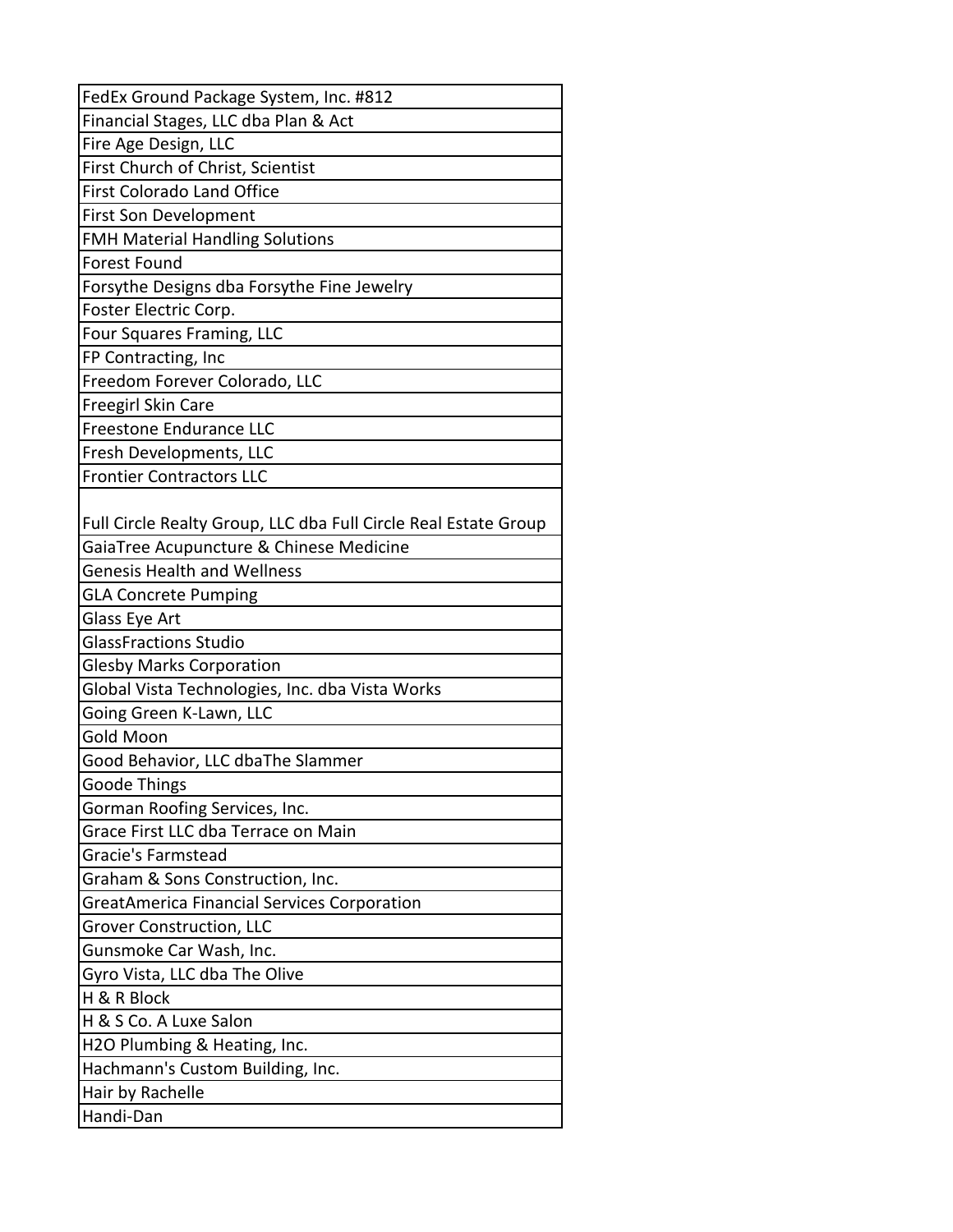| FedEx Ground Package System, Inc. #812                          |
|-----------------------------------------------------------------|
| Financial Stages, LLC dba Plan & Act                            |
| Fire Age Design, LLC                                            |
| First Church of Christ, Scientist                               |
| <b>First Colorado Land Office</b>                               |
| <b>First Son Development</b>                                    |
| <b>FMH Material Handling Solutions</b>                          |
| <b>Forest Found</b>                                             |
| Forsythe Designs dba Forsythe Fine Jewelry                      |
| Foster Electric Corp.                                           |
| Four Squares Framing, LLC                                       |
| FP Contracting, Inc                                             |
| Freedom Forever Colorado, LLC                                   |
| <b>Freegirl Skin Care</b>                                       |
| <b>Freestone Endurance LLC</b>                                  |
| Fresh Developments, LLC                                         |
| <b>Frontier Contractors LLC</b>                                 |
|                                                                 |
| Full Circle Realty Group, LLC dba Full Circle Real Estate Group |
| GaiaTree Acupuncture & Chinese Medicine                         |
| <b>Genesis Health and Wellness</b>                              |
| <b>GLA Concrete Pumping</b>                                     |
| Glass Eye Art                                                   |
| <b>GlassFractions Studio</b>                                    |
| <b>Glesby Marks Corporation</b>                                 |
| Global Vista Technologies, Inc. dba Vista Works                 |
| Going Green K-Lawn, LLC                                         |
| <b>Gold Moon</b>                                                |
| Good Behavior, LLC dbaThe Slammer                               |
| <b>Goode Things</b>                                             |
| Gorman Roofing Services, Inc.                                   |
| Grace First LLC dba Terrace on Main                             |
| Gracie's Farmstead                                              |
| Graham & Sons Construction, Inc.                                |
| <b>GreatAmerica Financial Services Corporation</b>              |
| Grover Construction, LLC                                        |
| Gunsmoke Car Wash, Inc.                                         |
| Gyro Vista, LLC dba The Olive                                   |
| H & R Block                                                     |
| H & S Co. A Luxe Salon                                          |
| H2O Plumbing & Heating, Inc.                                    |
| Hachmann's Custom Building, Inc.                                |
| Hair by Rachelle                                                |
| Handi-Dan                                                       |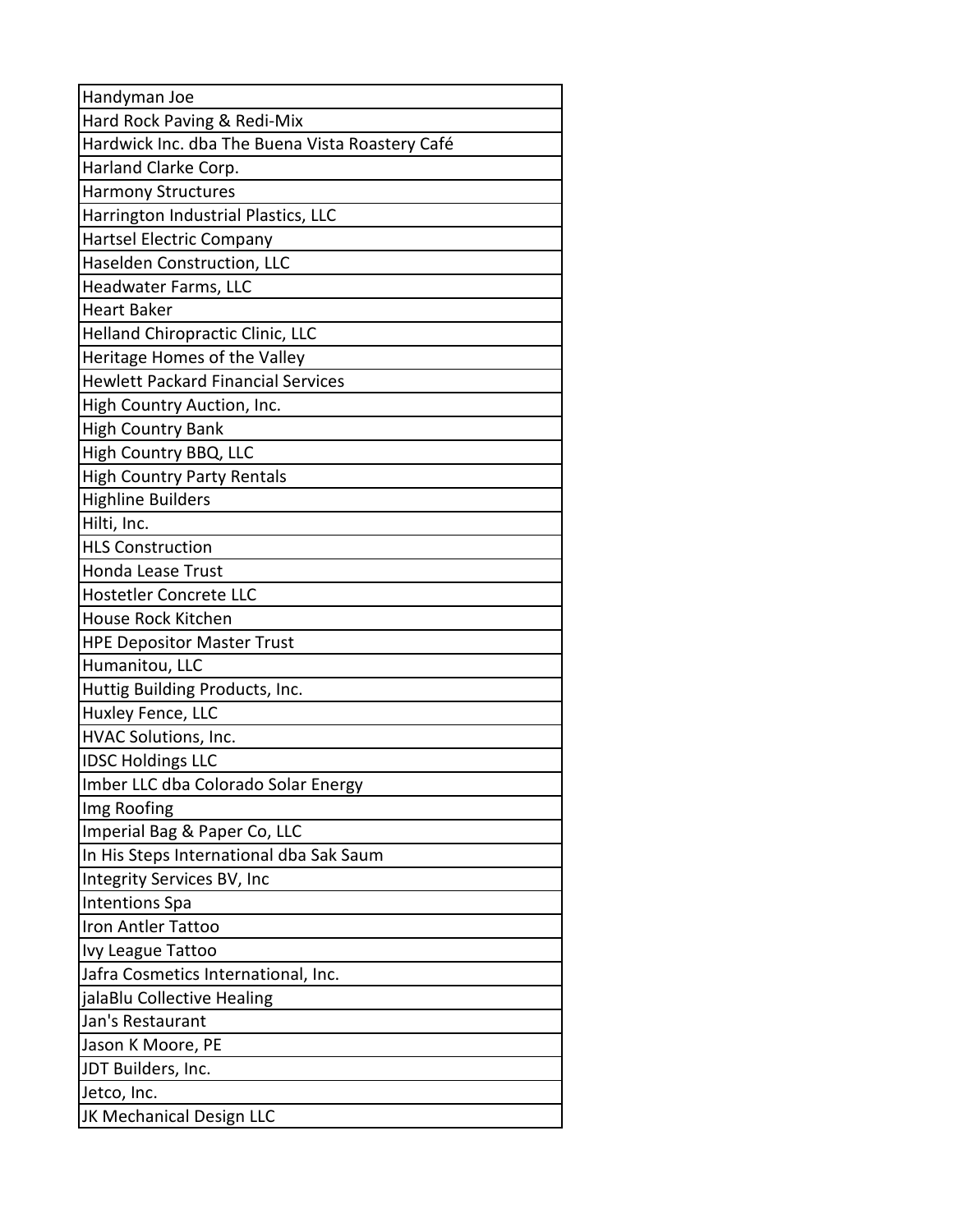| Handyman Joe                                    |
|-------------------------------------------------|
| Hard Rock Paving & Redi-Mix                     |
| Hardwick Inc. dba The Buena Vista Roastery Café |
| Harland Clarke Corp.                            |
| <b>Harmony Structures</b>                       |
| Harrington Industrial Plastics, LLC             |
| Hartsel Electric Company                        |
| Haselden Construction, LLC                      |
| Headwater Farms, LLC                            |
| <b>Heart Baker</b>                              |
| Helland Chiropractic Clinic, LLC                |
| Heritage Homes of the Valley                    |
| <b>Hewlett Packard Financial Services</b>       |
| High Country Auction, Inc.                      |
| <b>High Country Bank</b>                        |
| High Country BBQ, LLC                           |
| <b>High Country Party Rentals</b>               |
| <b>Highline Builders</b>                        |
| Hilti, Inc.                                     |
| <b>HLS Construction</b>                         |
| Honda Lease Trust                               |
| Hostetler Concrete LLC                          |
| House Rock Kitchen                              |
| <b>HPE Depositor Master Trust</b>               |
| Humanitou, LLC                                  |
| Huttig Building Products, Inc.                  |
| Huxley Fence, LLC                               |
| HVAC Solutions, Inc.                            |
| <b>IDSC Holdings LLC</b>                        |
| Imber LLC dba Colorado Solar Energy             |
| Img Roofing                                     |
| Imperial Bag & Paper Co, LLC                    |
| In His Steps International dba Sak Saum         |
| Integrity Services BV, Inc                      |
| <b>Intentions Spa</b>                           |
| <b>Iron Antler Tattoo</b>                       |
| Ivy League Tattoo                               |
| Jafra Cosmetics International, Inc.             |
| jalaBlu Collective Healing                      |
| Jan's Restaurant                                |
| Jason K Moore, PE                               |
| JDT Builders, Inc.                              |
| Jetco, Inc.                                     |
| JK Mechanical Design LLC                        |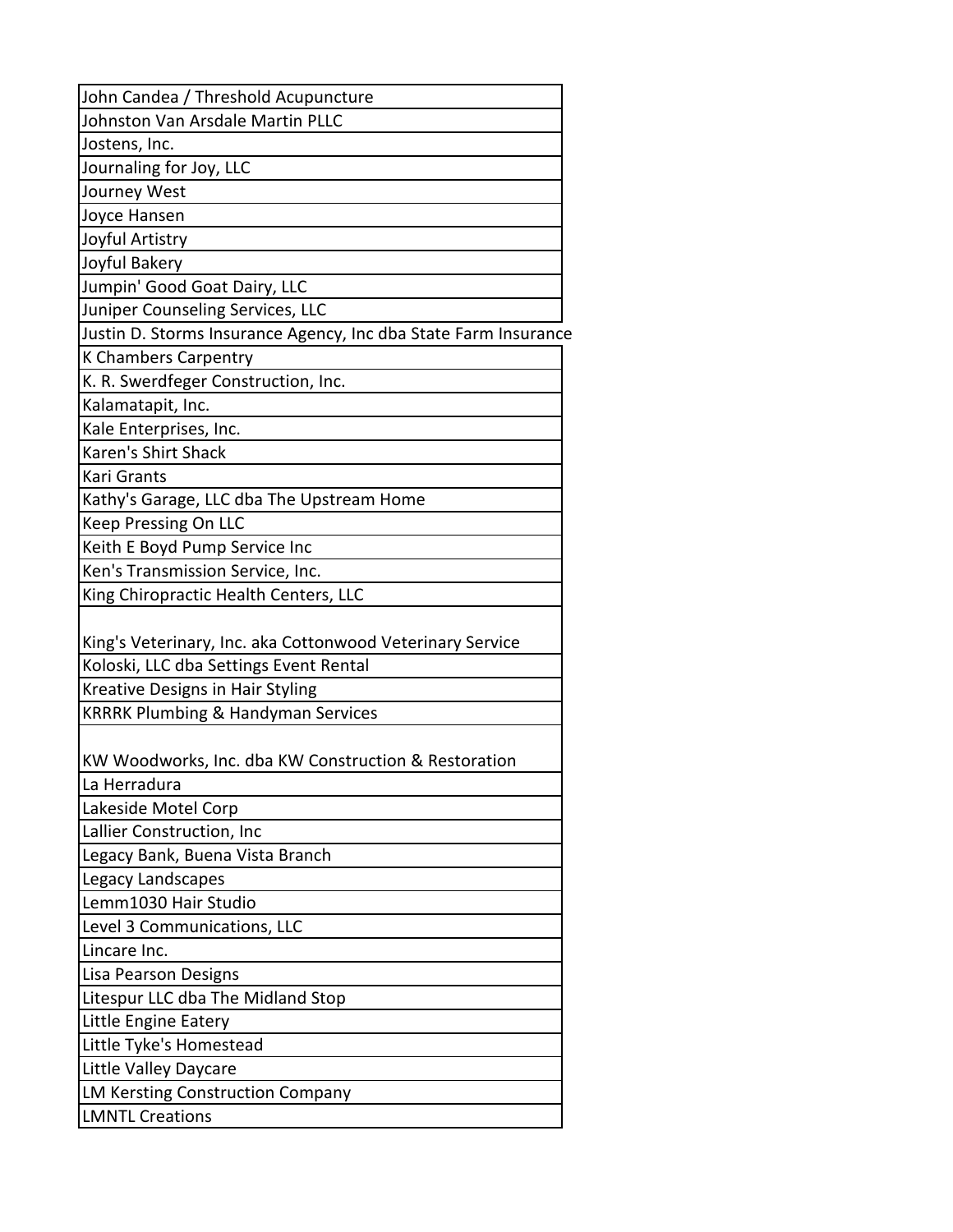| John Candea / Threshold Acupuncture                             |  |
|-----------------------------------------------------------------|--|
| Johnston Van Arsdale Martin PLLC                                |  |
| Jostens, Inc.                                                   |  |
| Journaling for Joy, LLC                                         |  |
| Journey West                                                    |  |
| Joyce Hansen                                                    |  |
| Joyful Artistry                                                 |  |
| Joyful Bakery                                                   |  |
| Jumpin' Good Goat Dairy, LLC                                    |  |
| Juniper Counseling Services, LLC                                |  |
| Justin D. Storms Insurance Agency, Inc dba State Farm Insurance |  |
| K Chambers Carpentry                                            |  |
| K. R. Swerdfeger Construction, Inc.                             |  |
| Kalamatapit, Inc.                                               |  |
| Kale Enterprises, Inc.                                          |  |
| Karen's Shirt Shack                                             |  |
| Kari Grants                                                     |  |
| Kathy's Garage, LLC dba The Upstream Home                       |  |
| Keep Pressing On LLC                                            |  |
| Keith E Boyd Pump Service Inc                                   |  |
| Ken's Transmission Service, Inc.                                |  |
| King Chiropractic Health Centers, LLC                           |  |
|                                                                 |  |
| King's Veterinary, Inc. aka Cottonwood Veterinary Service       |  |
| Koloski, LLC dba Settings Event Rental                          |  |
| Kreative Designs in Hair Styling                                |  |
| <b>KRRRK Plumbing &amp; Handyman Services</b>                   |  |
|                                                                 |  |
| KW Woodworks, Inc. dba KW Construction & Restoration            |  |
| La Herradura                                                    |  |
| Lakeside Motel Corp                                             |  |
| Lallier Construction, Inc                                       |  |
| Legacy Bank, Buena Vista Branch                                 |  |
| Legacy Landscapes                                               |  |
| Lemm1030 Hair Studio                                            |  |
| Level 3 Communications, LLC                                     |  |
| Lincare Inc.                                                    |  |
| Lisa Pearson Designs                                            |  |
| Litespur LLC dba The Midland Stop                               |  |
| Little Engine Eatery                                            |  |
| Little Tyke's Homestead                                         |  |
| Little Valley Daycare                                           |  |
| <b>LM Kersting Construction Company</b>                         |  |
| <b>LMNTL Creations</b>                                          |  |
|                                                                 |  |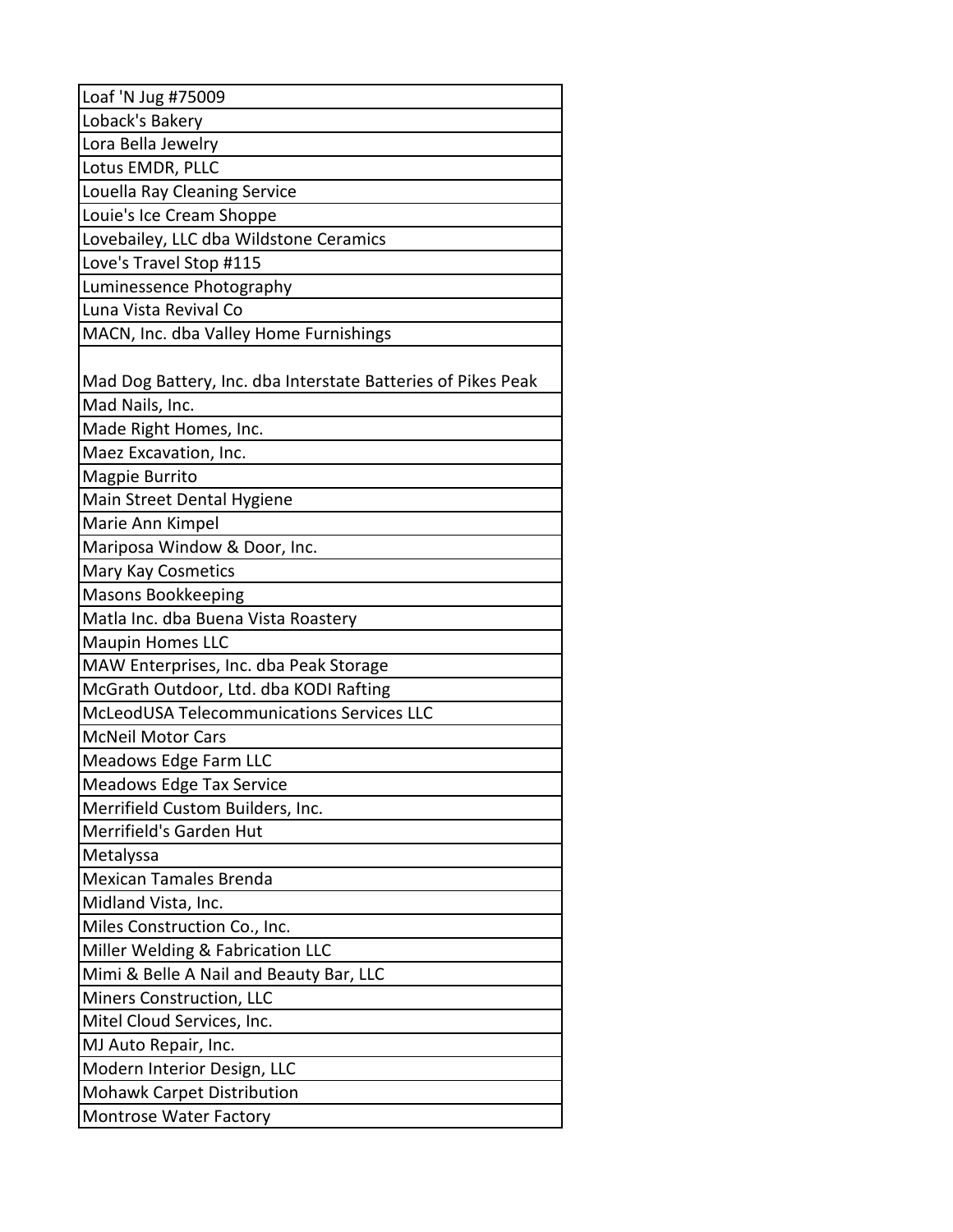| Loaf 'N Jug #75009                                           |
|--------------------------------------------------------------|
| Loback's Bakery                                              |
| Lora Bella Jewelry                                           |
| Lotus EMDR, PLLC                                             |
| Louella Ray Cleaning Service                                 |
| Louie's Ice Cream Shoppe                                     |
| Lovebailey, LLC dba Wildstone Ceramics                       |
| Love's Travel Stop #115                                      |
| Luminessence Photography                                     |
| Luna Vista Revival Co                                        |
| MACN, Inc. dba Valley Home Furnishings                       |
|                                                              |
| Mad Dog Battery, Inc. dba Interstate Batteries of Pikes Peak |
| Mad Nails, Inc.                                              |
| Made Right Homes, Inc.                                       |
| Maez Excavation, Inc.                                        |
| Magpie Burrito                                               |
| Main Street Dental Hygiene                                   |
| Marie Ann Kimpel                                             |
| Mariposa Window & Door, Inc.                                 |
| Mary Kay Cosmetics                                           |
| <b>Masons Bookkeeping</b>                                    |
| Matla Inc. dba Buena Vista Roastery                          |
| <b>Maupin Homes LLC</b>                                      |
| MAW Enterprises, Inc. dba Peak Storage                       |
| McGrath Outdoor, Ltd. dba KODI Rafting                       |
| McLeodUSA Telecommunications Services LLC                    |
| <b>McNeil Motor Cars</b>                                     |
| Meadows Edge Farm LLC                                        |
| <b>Meadows Edge Tax Service</b>                              |
| Merrifield Custom Builders, Inc.                             |
| Merrifield's Garden Hut                                      |
| Metalyssa                                                    |
| <b>Mexican Tamales Brenda</b>                                |
| Midland Vista, Inc.                                          |
| Miles Construction Co., Inc.                                 |
| Miller Welding & Fabrication LLC                             |
| Mimi & Belle A Nail and Beauty Bar, LLC                      |
| Miners Construction, LLC                                     |
| Mitel Cloud Services, Inc.                                   |
| MJ Auto Repair, Inc.                                         |
| Modern Interior Design, LLC                                  |
| <b>Mohawk Carpet Distribution</b>                            |
| Montrose Water Factory                                       |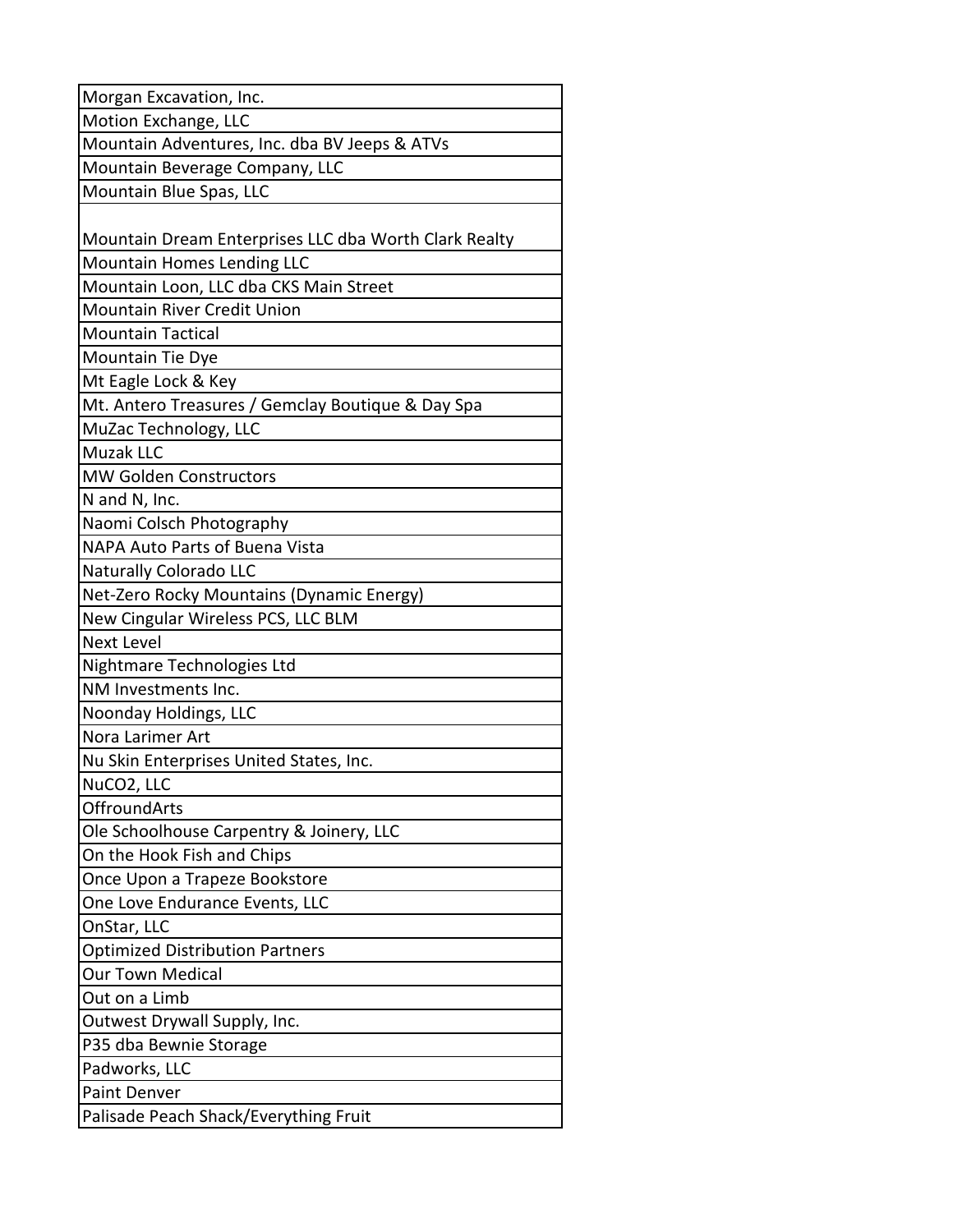| Morgan Excavation, Inc.                               |
|-------------------------------------------------------|
| Motion Exchange, LLC                                  |
| Mountain Adventures, Inc. dba BV Jeeps & ATVs         |
| Mountain Beverage Company, LLC                        |
| Mountain Blue Spas, LLC                               |
|                                                       |
| Mountain Dream Enterprises LLC dba Worth Clark Realty |
| Mountain Homes Lending LLC                            |
| Mountain Loon, LLC dba CKS Main Street                |
| <b>Mountain River Credit Union</b>                    |
| <b>Mountain Tactical</b>                              |
| Mountain Tie Dye                                      |
| Mt Eagle Lock & Key                                   |
| Mt. Antero Treasures / Gemclay Boutique & Day Spa     |
| MuZac Technology, LLC                                 |
| <b>Muzak LLC</b>                                      |
| <b>MW Golden Constructors</b>                         |
| N and N, Inc.                                         |
| Naomi Colsch Photography                              |
| NAPA Auto Parts of Buena Vista                        |
| <b>Naturally Colorado LLC</b>                         |
| Net-Zero Rocky Mountains (Dynamic Energy)             |
| New Cingular Wireless PCS, LLC BLM                    |
| <b>Next Level</b>                                     |
| Nightmare Technologies Ltd                            |
| NM Investments Inc.                                   |
| Noonday Holdings, LLC                                 |
| Nora Larimer Art                                      |
| Nu Skin Enterprises United States, Inc.               |
| NuCO <sub>2</sub> , LLC                               |
| <b>OffroundArts</b>                                   |
| Ole Schoolhouse Carpentry & Joinery, LLC              |
| On the Hook Fish and Chips                            |
| Once Upon a Trapeze Bookstore                         |
| One Love Endurance Events, LLC                        |
| OnStar, LLC                                           |
| <b>Optimized Distribution Partners</b>                |
| Our Town Medical                                      |
| Out on a Limb                                         |
| Outwest Drywall Supply, Inc.                          |
| P35 dba Bewnie Storage                                |
| Padworks, LLC                                         |
| <b>Paint Denver</b>                                   |
| Palisade Peach Shack/Everything Fruit                 |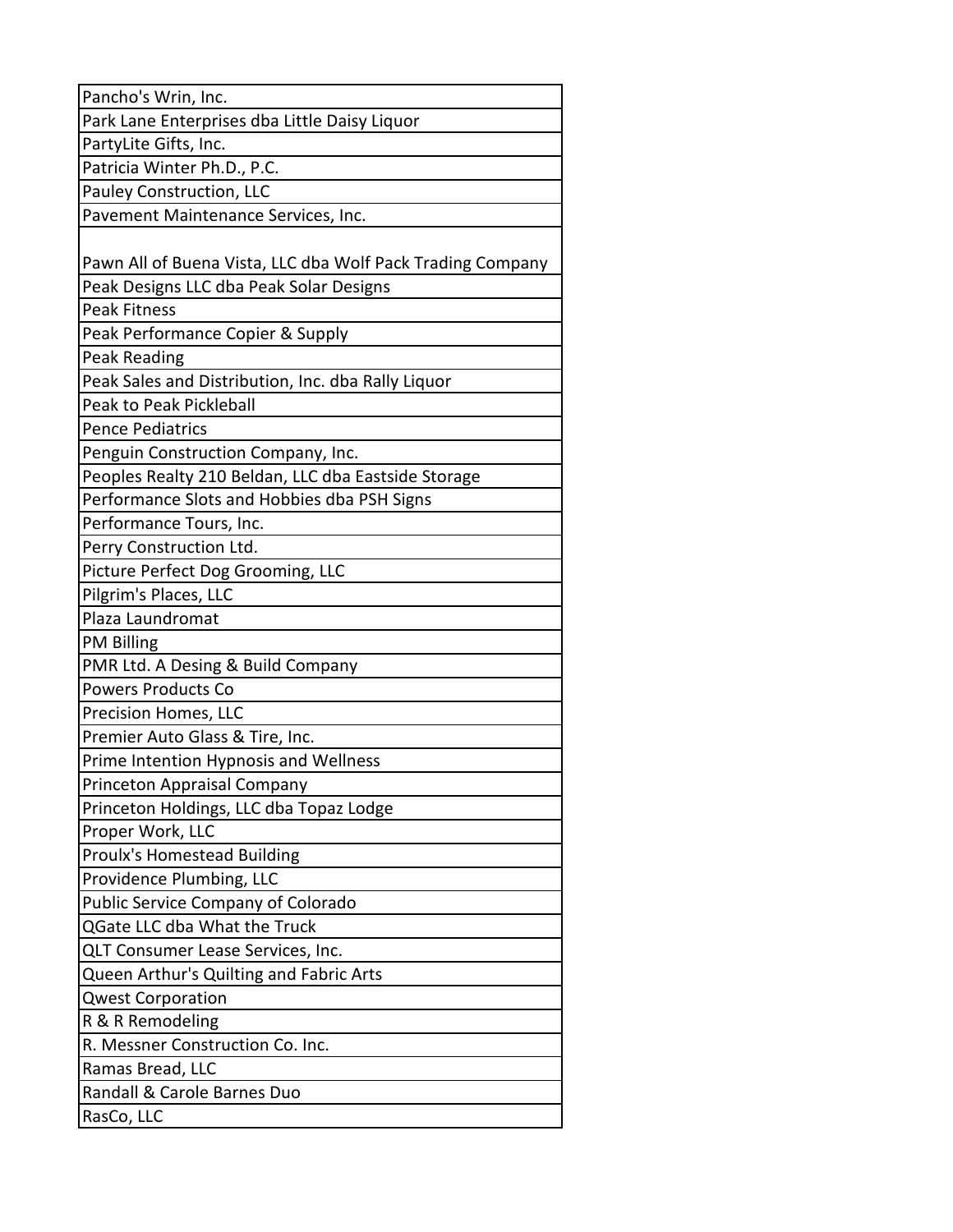| Pancho's Wrin, Inc.                                        |
|------------------------------------------------------------|
| Park Lane Enterprises dba Little Daisy Liquor              |
| PartyLite Gifts, Inc.                                      |
| Patricia Winter Ph.D., P.C.                                |
| <b>Pauley Construction, LLC</b>                            |
| Pavement Maintenance Services, Inc.                        |
|                                                            |
| Pawn All of Buena Vista, LLC dba Wolf Pack Trading Company |
| Peak Designs LLC dba Peak Solar Designs                    |
| <b>Peak Fitness</b>                                        |
| Peak Performance Copier & Supply                           |
| <b>Peak Reading</b>                                        |
| Peak Sales and Distribution, Inc. dba Rally Liquor         |
| Peak to Peak Pickleball                                    |
| <b>Pence Pediatrics</b>                                    |
| Penguin Construction Company, Inc.                         |
| Peoples Realty 210 Beldan, LLC dba Eastside Storage        |
| Performance Slots and Hobbies dba PSH Signs                |
| Performance Tours, Inc.                                    |
| Perry Construction Ltd.                                    |
| Picture Perfect Dog Grooming, LLC                          |
| Pilgrim's Places, LLC                                      |
| Plaza Laundromat                                           |
| <b>PM Billing</b>                                          |
| PMR Ltd. A Desing & Build Company                          |
| <b>Powers Products Co</b>                                  |
| Precision Homes, LLC                                       |
| Premier Auto Glass & Tire, Inc.                            |
| Prime Intention Hypnosis and Wellness                      |
| Princeton Appraisal Company                                |
| Princeton Holdings, LLC dba Topaz Lodge                    |
| Proper Work, LLC                                           |
| <b>Proulx's Homestead Building</b>                         |
| Providence Plumbing, LLC                                   |
| Public Service Company of Colorado                         |
| QGate LLC dba What the Truck                               |
| QLT Consumer Lease Services, Inc.                          |
| Queen Arthur's Quilting and Fabric Arts                    |
| <b>Qwest Corporation</b>                                   |
| R & R Remodeling                                           |
| R. Messner Construction Co. Inc.                           |
| Ramas Bread, LLC                                           |
| Randall & Carole Barnes Duo                                |
| RasCo, LLC                                                 |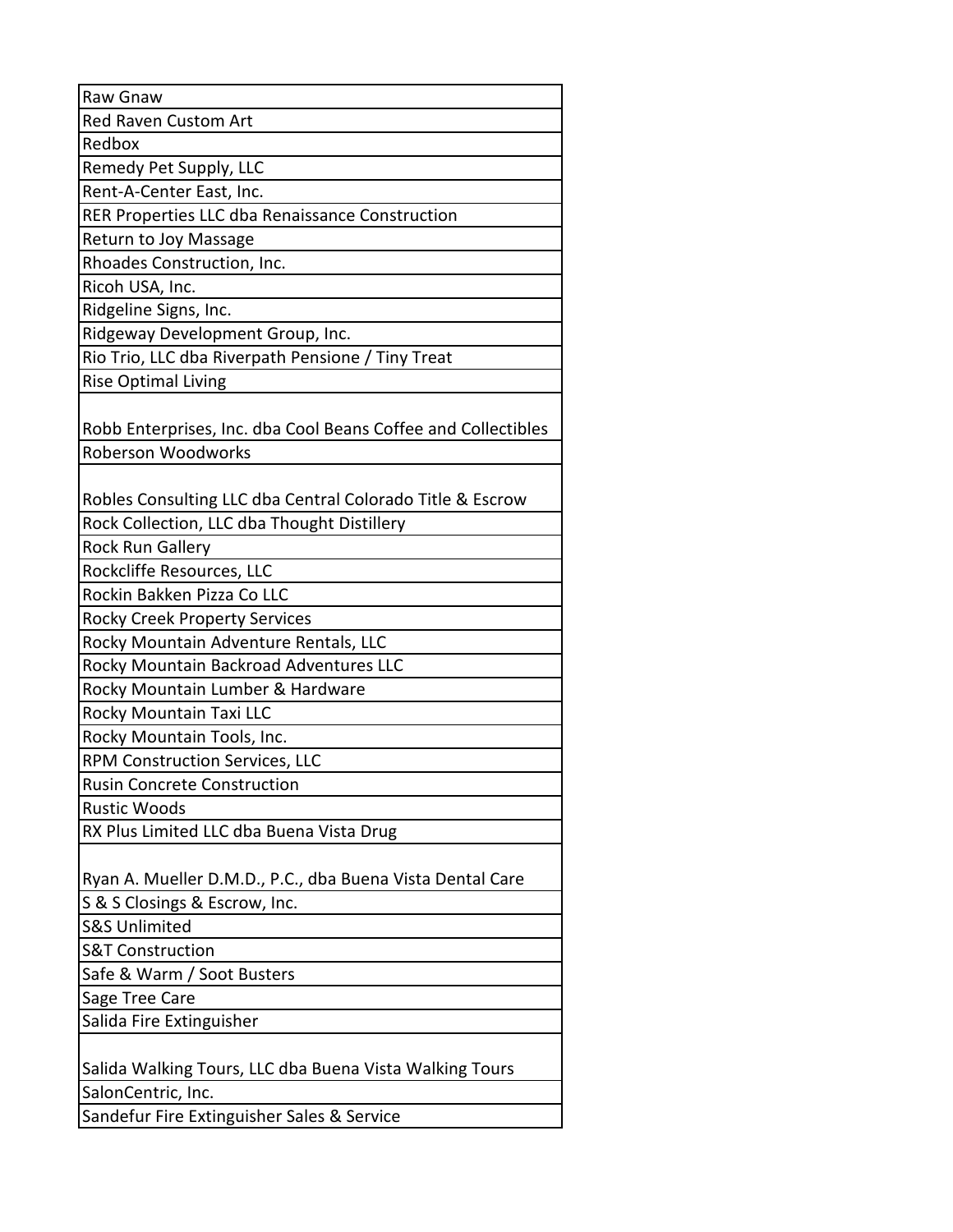| Raw Gnaw                                                      |
|---------------------------------------------------------------|
| <b>Red Raven Custom Art</b>                                   |
| Redbox                                                        |
| Remedy Pet Supply, LLC                                        |
| Rent-A-Center East, Inc.                                      |
| RER Properties LLC dba Renaissance Construction               |
| Return to Joy Massage                                         |
| Rhoades Construction, Inc.                                    |
| Ricoh USA, Inc.                                               |
| Ridgeline Signs, Inc.                                         |
| Ridgeway Development Group, Inc.                              |
| Rio Trio, LLC dba Riverpath Pensione / Tiny Treat             |
| <b>Rise Optimal Living</b>                                    |
|                                                               |
| Robb Enterprises, Inc. dba Cool Beans Coffee and Collectibles |
| Roberson Woodworks                                            |
|                                                               |
| Robles Consulting LLC dba Central Colorado Title & Escrow     |
| Rock Collection, LLC dba Thought Distillery                   |
| <b>Rock Run Gallery</b>                                       |
| Rockcliffe Resources, LLC                                     |
| Rockin Bakken Pizza Co LLC                                    |
| <b>Rocky Creek Property Services</b>                          |
| Rocky Mountain Adventure Rentals, LLC                         |
| Rocky Mountain Backroad Adventures LLC                        |
| Rocky Mountain Lumber & Hardware                              |
| Rocky Mountain Taxi LLC                                       |
| Rocky Mountain Tools, Inc.                                    |
| <b>RPM Construction Services, LLC</b>                         |
| <b>Rusin Concrete Construction</b>                            |
| <b>Rustic Woods</b>                                           |
| RX Plus Limited LLC dba Buena Vista Drug                      |
|                                                               |
| Ryan A. Mueller D.M.D., P.C., dba Buena Vista Dental Care     |
| S & S Closings & Escrow, Inc.                                 |
| <b>S&amp;S Unlimited</b>                                      |
| <b>S&amp;T Construction</b>                                   |
| Safe & Warm / Soot Busters                                    |
| Sage Tree Care                                                |
| Salida Fire Extinguisher                                      |
|                                                               |
| Salida Walking Tours, LLC dba Buena Vista Walking Tours       |
| SalonCentric, Inc.                                            |
| Sandefur Fire Extinguisher Sales & Service                    |
|                                                               |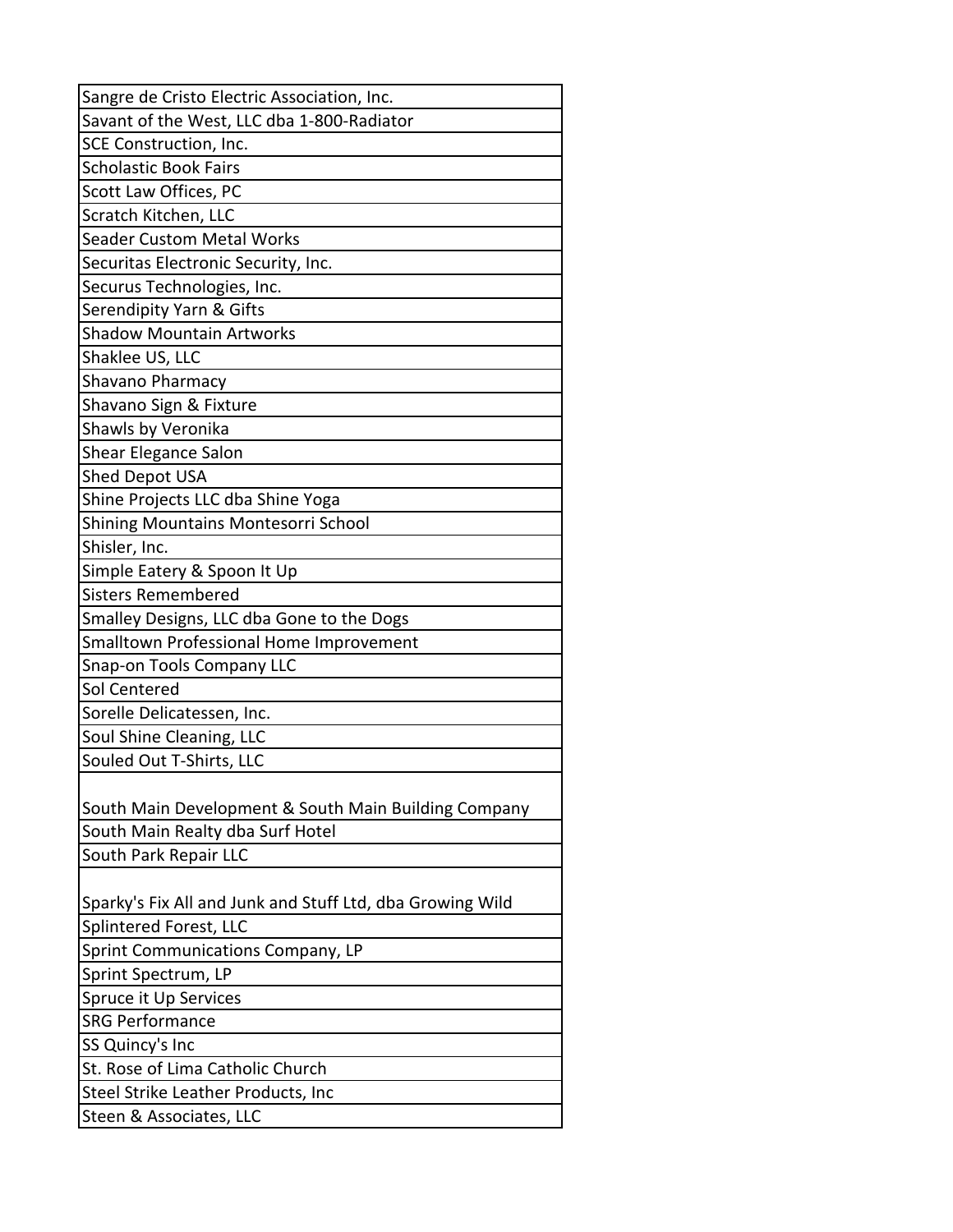| Sangre de Cristo Electric Association, Inc.               |
|-----------------------------------------------------------|
| Savant of the West, LLC dba 1-800-Radiator                |
| SCE Construction, Inc.                                    |
| <b>Scholastic Book Fairs</b>                              |
| Scott Law Offices, PC                                     |
| Scratch Kitchen, LLC                                      |
| <b>Seader Custom Metal Works</b>                          |
| Securitas Electronic Security, Inc.                       |
| Securus Technologies, Inc.                                |
| Serendipity Yarn & Gifts                                  |
| <b>Shadow Mountain Artworks</b>                           |
| Shaklee US, LLC                                           |
| Shavano Pharmacy                                          |
| Shavano Sign & Fixture                                    |
| Shawls by Veronika                                        |
| Shear Elegance Salon                                      |
| Shed Depot USA                                            |
| Shine Projects LLC dba Shine Yoga                         |
| Shining Mountains Montesorri School                       |
| Shisler, Inc.                                             |
| Simple Eatery & Spoon It Up                               |
| <b>Sisters Remembered</b>                                 |
| Smalley Designs, LLC dba Gone to the Dogs                 |
| Smalltown Professional Home Improvement                   |
| Snap-on Tools Company LLC                                 |
| Sol Centered                                              |
| Sorelle Delicatessen, Inc.                                |
| Soul Shine Cleaning, LLC                                  |
| Souled Out T-Shirts, LLC                                  |
|                                                           |
| South Main Development & South Main Building Company      |
| South Main Realty dba Surf Hotel                          |
| South Park Repair LLC                                     |
|                                                           |
| Sparky's Fix All and Junk and Stuff Ltd, dba Growing Wild |
| Splintered Forest, LLC                                    |
| Sprint Communications Company, LP                         |
| Sprint Spectrum, LP                                       |
| Spruce it Up Services                                     |
| <b>SRG Performance</b>                                    |
| SS Quincy's Inc                                           |
| St. Rose of Lima Catholic Church                          |
| Steel Strike Leather Products, Inc                        |
| Steen & Associates, LLC                                   |
|                                                           |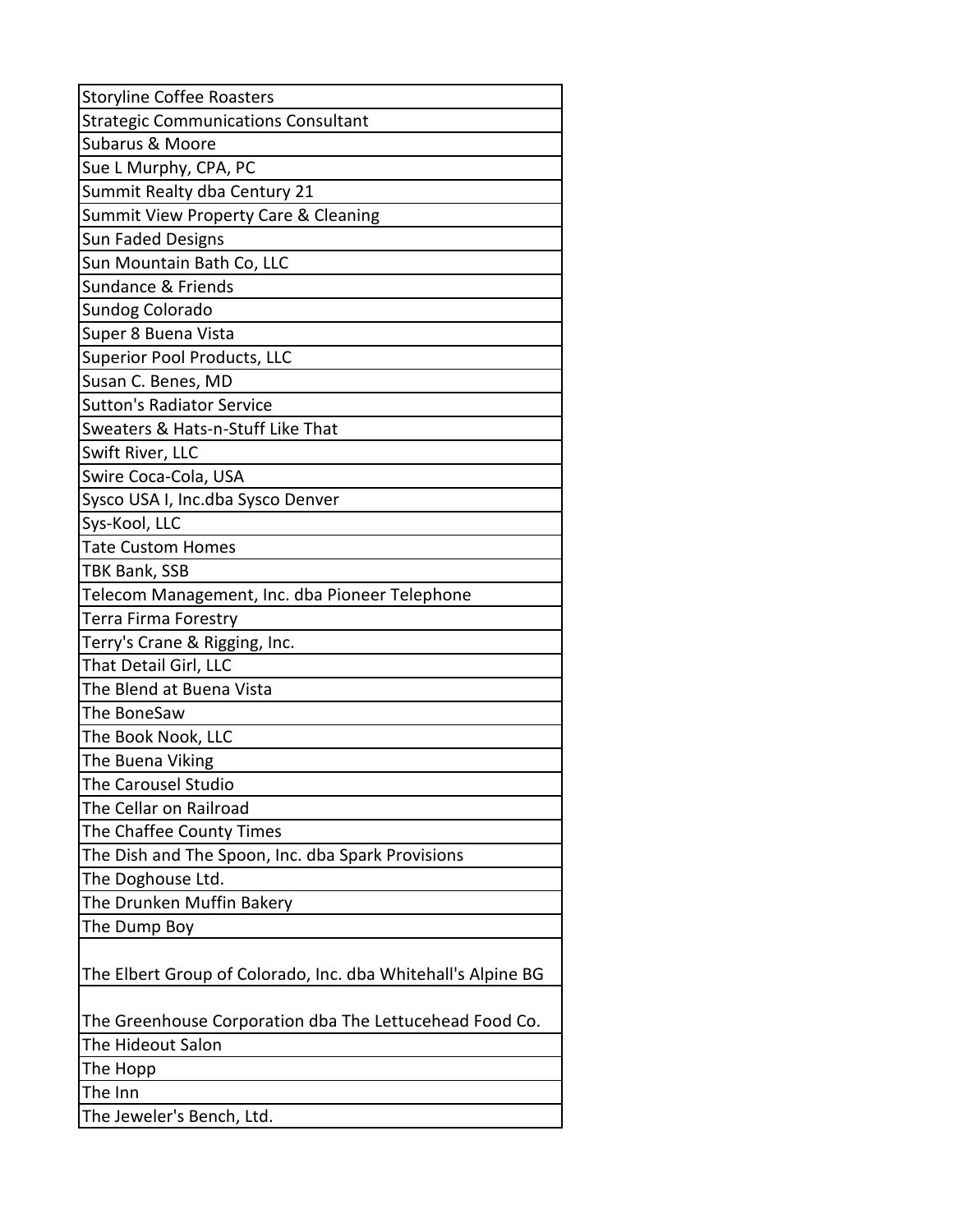| <b>Storyline Coffee Roasters</b>                             |
|--------------------------------------------------------------|
| <b>Strategic Communications Consultant</b>                   |
| <b>Subarus &amp; Moore</b>                                   |
| Sue L Murphy, CPA, PC                                        |
| Summit Realty dba Century 21                                 |
| Summit View Property Care & Cleaning                         |
| <b>Sun Faded Designs</b>                                     |
| Sun Mountain Bath Co, LLC                                    |
| Sundance & Friends                                           |
| Sundog Colorado                                              |
| Super 8 Buena Vista                                          |
| <b>Superior Pool Products, LLC</b>                           |
| Susan C. Benes, MD                                           |
| <b>Sutton's Radiator Service</b>                             |
| Sweaters & Hats-n-Stuff Like That                            |
| Swift River, LLC                                             |
| Swire Coca-Cola, USA                                         |
| Sysco USA I, Inc.dba Sysco Denver                            |
| Sys-Kool, LLC                                                |
| <b>Tate Custom Homes</b>                                     |
| TBK Bank, SSB                                                |
| Telecom Management, Inc. dba Pioneer Telephone               |
| Terra Firma Forestry                                         |
| Terry's Crane & Rigging, Inc.                                |
| That Detail Girl, LLC                                        |
| The Blend at Buena Vista                                     |
| The BoneSaw                                                  |
| The Book Nook, LLC                                           |
| The Buena Viking                                             |
| The Carousel Studio                                          |
| The Cellar on Railroad                                       |
| The Chaffee County Times                                     |
| The Dish and The Spoon, Inc. dba Spark Provisions            |
| The Doghouse Ltd.                                            |
| The Drunken Muffin Bakery                                    |
| The Dump Boy                                                 |
|                                                              |
| The Elbert Group of Colorado, Inc. dba Whitehall's Alpine BG |
| The Greenhouse Corporation dba The Lettucehead Food Co.      |
| The Hideout Salon                                            |
| The Hopp                                                     |
| The Inn                                                      |
| The Jeweler's Bench, Ltd.                                    |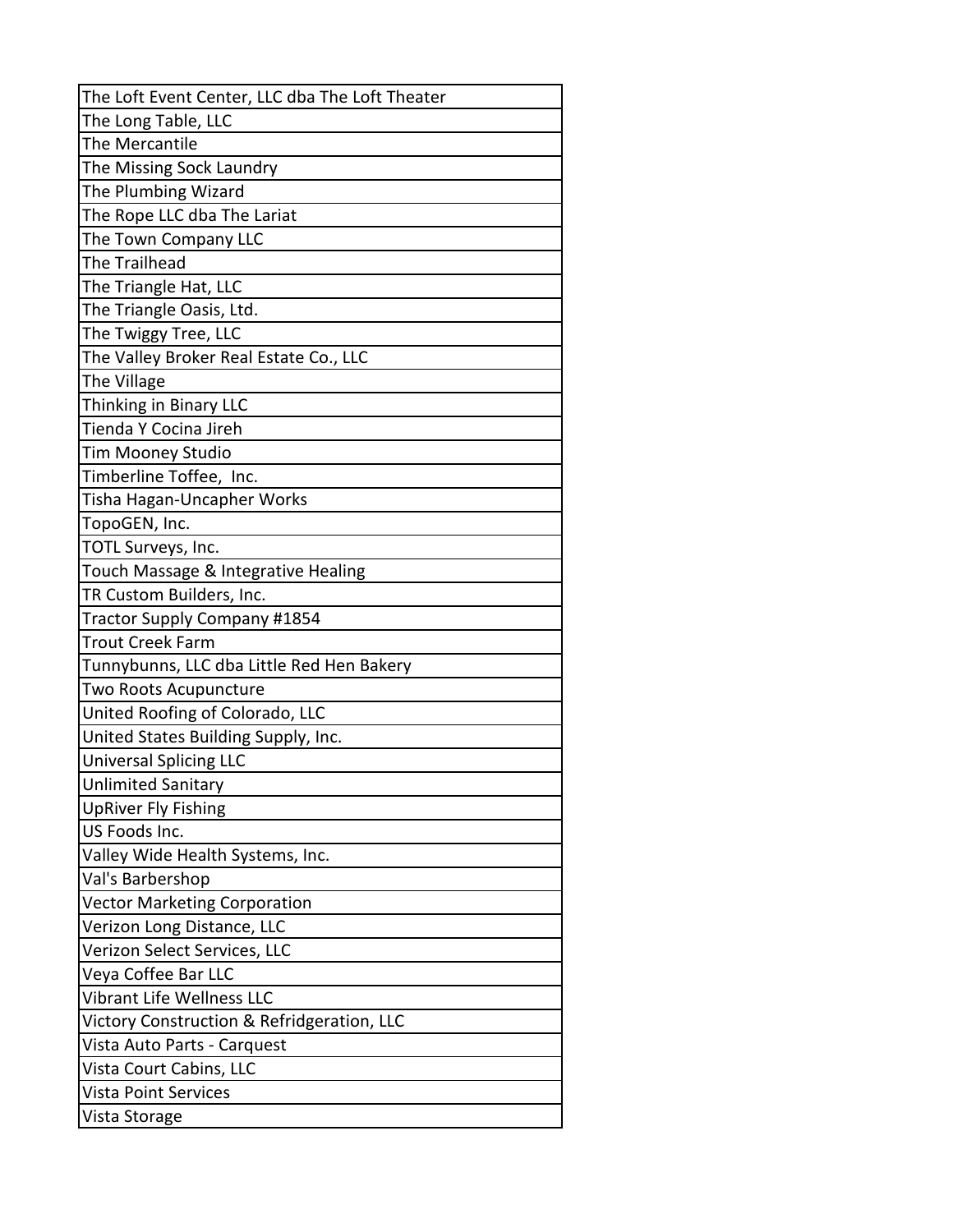| The Loft Event Center, LLC dba The Loft Theater |
|-------------------------------------------------|
| The Long Table, LLC                             |
| The Mercantile                                  |
| The Missing Sock Laundry                        |
| The Plumbing Wizard                             |
| The Rope LLC dba The Lariat                     |
| The Town Company LLC                            |
| The Trailhead                                   |
| The Triangle Hat, LLC                           |
| The Triangle Oasis, Ltd.                        |
| The Twiggy Tree, LLC                            |
| The Valley Broker Real Estate Co., LLC          |
| The Village                                     |
| Thinking in Binary LLC                          |
| Tienda Y Cocina Jireh                           |
| <b>Tim Mooney Studio</b>                        |
| Timberline Toffee, Inc.                         |
| Tisha Hagan-Uncapher Works                      |
| TopoGEN, Inc.                                   |
| TOTL Surveys, Inc.                              |
| Touch Massage & Integrative Healing             |
| TR Custom Builders, Inc.                        |
| Tractor Supply Company #1854                    |
| <b>Trout Creek Farm</b>                         |
| Tunnybunns, LLC dba Little Red Hen Bakery       |
| Two Roots Acupuncture                           |
| United Roofing of Colorado, LLC                 |
| United States Building Supply, Inc.             |
| <b>Universal Splicing LLC</b>                   |
| <b>Unlimited Sanitary</b>                       |
| <b>UpRiver Fly Fishing</b>                      |
| US Foods Inc.                                   |
| Valley Wide Health Systems, Inc.                |
| Val's Barbershop                                |
| <b>Vector Marketing Corporation</b>             |
| Verizon Long Distance, LLC                      |
| Verizon Select Services, LLC                    |
| Veya Coffee Bar LLC                             |
| <b>Vibrant Life Wellness LLC</b>                |
| Victory Construction & Refridgeration, LLC      |
| Vista Auto Parts - Carquest                     |
| Vista Court Cabins, LLC                         |
| <b>Vista Point Services</b>                     |
| Vista Storage                                   |